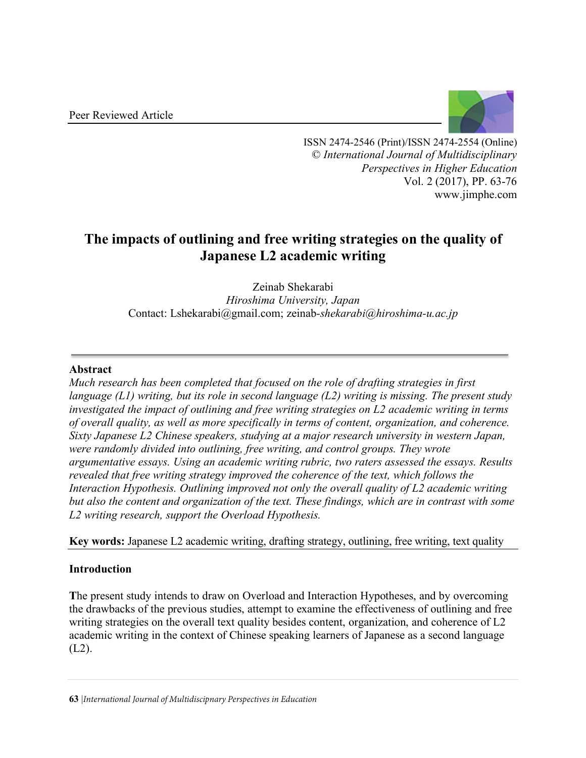

ISSN 2474-2546 (Print)/ISSN 2474-2554 (Online) © *International Journal of Multidisciplinary Perspectives in Higher Education* Vol. 2 (2017), PP. 63-76 www.jimphe.com

# **The impacts of outlining and free writing strategies on the quality of Japanese L2 academic writing**

Zeinab Shekarabi *Hiroshima University, Japan* Contact: Lshekarabi@gmail.com; zeinab*-shekarabi@hiroshima-u.ac.jp*

# **Abstract**

*Much research has been completed that focused on the role of drafting strategies in first language (L1) writing, but its role in second language (L2) writing is missing. The present study investigated the impact of outlining and free writing strategies on L2 academic writing in terms of overall quality, as well as more specifically in terms of content, organization, and coherence. Sixty Japanese L2 Chinese speakers, studying at a major research university in western Japan, were randomly divided into outlining, free writing, and control groups. They wrote argumentative essays. Using an academic writing rubric, two raters assessed the essays. Results revealed that free writing strategy improved the coherence of the text, which follows the Interaction Hypothesis. Outlining improved not only the overall quality of L2 academic writing but also the content and organization of the text. These findings, which are in contrast with some L2 writing research, support the Overload Hypothesis.* 

**Key words:** Japanese L2 academic writing, drafting strategy, outlining, free writing, text quality

# **Introduction**

**T**he present study intends to draw on Overload and Interaction Hypotheses, and by overcoming the drawbacks of the previous studies, attempt to examine the effectiveness of outlining and free writing strategies on the overall text quality besides content, organization, and coherence of L2 academic writing in the context of Chinese speaking learners of Japanese as a second language  $(L2)$ .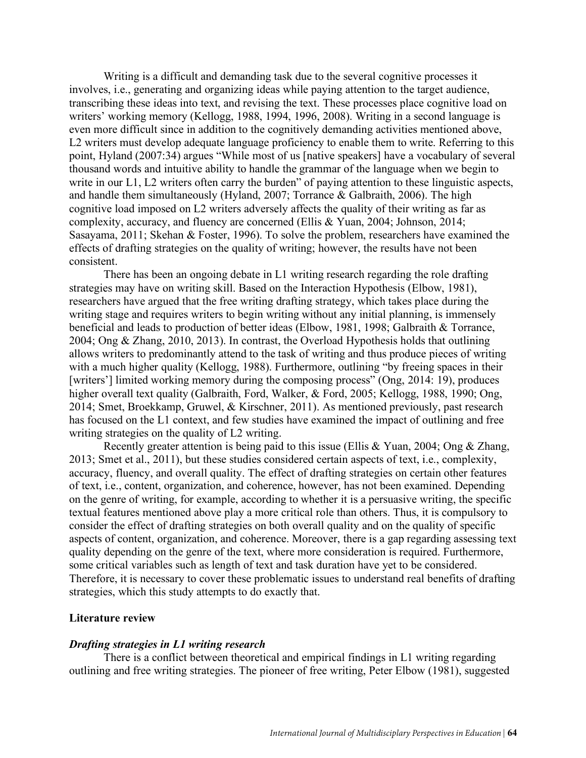Writing is a difficult and demanding task due to the several cognitive processes it involves, i.e., generating and organizing ideas while paying attention to the target audience, transcribing these ideas into text, and revising the text. These processes place cognitive load on writers' working memory (Kellogg, 1988, 1994, 1996, 2008). Writing in a second language is even more difficult since in addition to the cognitively demanding activities mentioned above, L2 writers must develop adequate language proficiency to enable them to write. Referring to this point, Hyland (2007:34) argues "While most of us [native speakers] have a vocabulary of several thousand words and intuitive ability to handle the grammar of the language when we begin to write in our L1, L2 writers often carry the burden" of paying attention to these linguistic aspects, and handle them simultaneously (Hyland, 2007; Torrance & Galbraith, 2006). The high cognitive load imposed on L2 writers adversely affects the quality of their writing as far as complexity, accuracy, and fluency are concerned (Ellis & Yuan, 2004; Johnson, 2014; Sasayama, 2011; Skehan & Foster, 1996). To solve the problem, researchers have examined the effects of drafting strategies on the quality of writing; however, the results have not been consistent.

There has been an ongoing debate in L1 writing research regarding the role drafting strategies may have on writing skill. Based on the Interaction Hypothesis (Elbow, 1981), researchers have argued that the free writing drafting strategy, which takes place during the writing stage and requires writers to begin writing without any initial planning, is immensely beneficial and leads to production of better ideas (Elbow, 1981, 1998; Galbraith & Torrance, 2004; Ong & Zhang, 2010, 2013). In contrast, the Overload Hypothesis holds that outlining allows writers to predominantly attend to the task of writing and thus produce pieces of writing with a much higher quality (Kellogg, 1988). Furthermore, outlining "by freeing spaces in their [writers'] limited working memory during the composing process" (Ong, 2014: 19), produces higher overall text quality (Galbraith, Ford, Walker, & Ford, 2005; Kellogg, 1988, 1990; Ong, 2014; Smet, Broekkamp, Gruwel, & Kirschner, 2011). As mentioned previously, past research has focused on the L1 context, and few studies have examined the impact of outlining and free writing strategies on the quality of L2 writing.

Recently greater attention is being paid to this issue (Ellis & Yuan, 2004; Ong & Zhang, 2013; Smet et al., 2011), but these studies considered certain aspects of text, i.e., complexity, accuracy, fluency, and overall quality. The effect of drafting strategies on certain other features of text, i.e., content, organization, and coherence, however, has not been examined. Depending on the genre of writing, for example, according to whether it is a persuasive writing, the specific textual features mentioned above play a more critical role than others. Thus, it is compulsory to consider the effect of drafting strategies on both overall quality and on the quality of specific aspects of content, organization, and coherence. Moreover, there is a gap regarding assessing text quality depending on the genre of the text, where more consideration is required. Furthermore, some critical variables such as length of text and task duration have yet to be considered. Therefore, it is necessary to cover these problematic issues to understand real benefits of drafting strategies, which this study attempts to do exactly that.

#### **Literature review**

#### *Drafting strategies in L1 writing research*

There is a conflict between theoretical and empirical findings in L1 writing regarding outlining and free writing strategies. The pioneer of free writing, Peter Elbow (1981), suggested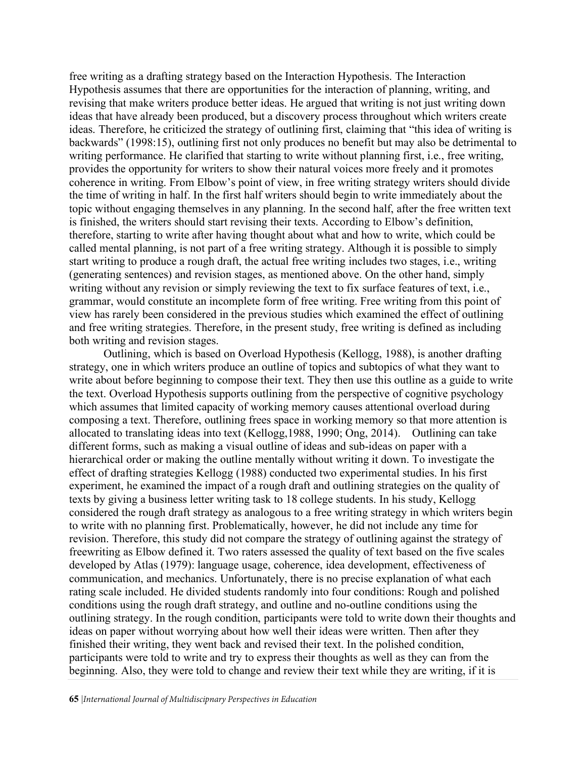free writing as a drafting strategy based on the Interaction Hypothesis. The Interaction Hypothesis assumes that there are opportunities for the interaction of planning, writing, and revising that make writers produce better ideas. He argued that writing is not just writing down ideas that have already been produced, but a discovery process throughout which writers create ideas. Therefore, he criticized the strategy of outlining first, claiming that "this idea of writing is backwards" (1998:15), outlining first not only produces no benefit but may also be detrimental to writing performance. He clarified that starting to write without planning first, i.e., free writing, provides the opportunity for writers to show their natural voices more freely and it promotes coherence in writing. From Elbow's point of view, in free writing strategy writers should divide the time of writing in half. In the first half writers should begin to write immediately about the topic without engaging themselves in any planning. In the second half, after the free written text is finished, the writers should start revising their texts. According to Elbow's definition, therefore, starting to write after having thought about what and how to write, which could be called mental planning, is not part of a free writing strategy. Although it is possible to simply start writing to produce a rough draft, the actual free writing includes two stages, i.e., writing (generating sentences) and revision stages, as mentioned above. On the other hand, simply writing without any revision or simply reviewing the text to fix surface features of text, i.e., grammar, would constitute an incomplete form of free writing. Free writing from this point of view has rarely been considered in the previous studies which examined the effect of outlining and free writing strategies. Therefore, in the present study, free writing is defined as including both writing and revision stages.

Outlining, which is based on Overload Hypothesis (Kellogg, 1988), is another drafting strategy, one in which writers produce an outline of topics and subtopics of what they want to write about before beginning to compose their text. They then use this outline as a guide to write the text. Overload Hypothesis supports outlining from the perspective of cognitive psychology which assumes that limited capacity of working memory causes attentional overload during composing a text. Therefore, outlining frees space in working memory so that more attention is allocated to translating ideas into text (Kellogg,1988, 1990; Ong, 2014). Outlining can take different forms, such as making a visual outline of ideas and sub-ideas on paper with a hierarchical order or making the outline mentally without writing it down. To investigate the effect of drafting strategies Kellogg (1988) conducted two experimental studies. In his first experiment, he examined the impact of a rough draft and outlining strategies on the quality of texts by giving a business letter writing task to 18 college students. In his study, Kellogg considered the rough draft strategy as analogous to a free writing strategy in which writers begin to write with no planning first. Problematically, however, he did not include any time for revision. Therefore, this study did not compare the strategy of outlining against the strategy of freewriting as Elbow defined it. Two raters assessed the quality of text based on the five scales developed by Atlas (1979): language usage, coherence, idea development, effectiveness of communication, and mechanics. Unfortunately, there is no precise explanation of what each rating scale included. He divided students randomly into four conditions: Rough and polished conditions using the rough draft strategy, and outline and no-outline conditions using the outlining strategy. In the rough condition, participants were told to write down their thoughts and ideas on paper without worrying about how well their ideas were written. Then after they finished their writing, they went back and revised their text. In the polished condition, participants were told to write and try to express their thoughts as well as they can from the beginning. Also, they were told to change and review their text while they are writing, if it is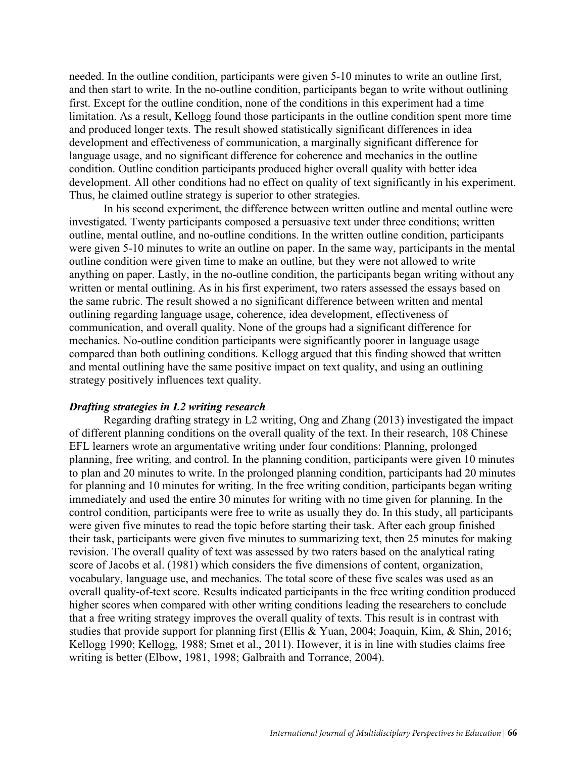needed. In the outline condition, participants were given 5-10 minutes to write an outline first, and then start to write. In the no-outline condition, participants began to write without outlining first. Except for the outline condition, none of the conditions in this experiment had a time limitation. As a result, Kellogg found those participants in the outline condition spent more time and produced longer texts. The result showed statistically significant differences in idea development and effectiveness of communication, a marginally significant difference for language usage, and no significant difference for coherence and mechanics in the outline condition. Outline condition participants produced higher overall quality with better idea development. All other conditions had no effect on quality of text significantly in his experiment. Thus, he claimed outline strategy is superior to other strategies.

In his second experiment, the difference between written outline and mental outline were investigated. Twenty participants composed a persuasive text under three conditions; written outline, mental outline, and no-outline conditions. In the written outline condition, participants were given 5-10 minutes to write an outline on paper. In the same way, participants in the mental outline condition were given time to make an outline, but they were not allowed to write anything on paper. Lastly, in the no-outline condition, the participants began writing without any written or mental outlining. As in his first experiment, two raters assessed the essays based on the same rubric. The result showed a no significant difference between written and mental outlining regarding language usage, coherence, idea development, effectiveness of communication, and overall quality. None of the groups had a significant difference for mechanics. No-outline condition participants were significantly poorer in language usage compared than both outlining conditions. Kellogg argued that this finding showed that written and mental outlining have the same positive impact on text quality, and using an outlining strategy positively influences text quality.

## *Drafting strategies in L2 writing research*

Regarding drafting strategy in L2 writing, Ong and Zhang (2013) investigated the impact of different planning conditions on the overall quality of the text. In their research, 108 Chinese EFL learners wrote an argumentative writing under four conditions: Planning, prolonged planning, free writing, and control. In the planning condition, participants were given 10 minutes to plan and 20 minutes to write. In the prolonged planning condition, participants had 20 minutes for planning and 10 minutes for writing. In the free writing condition, participants began writing immediately and used the entire 30 minutes for writing with no time given for planning. In the control condition, participants were free to write as usually they do. In this study, all participants were given five minutes to read the topic before starting their task. After each group finished their task, participants were given five minutes to summarizing text, then 25 minutes for making revision. The overall quality of text was assessed by two raters based on the analytical rating score of Jacobs et al. (1981) which considers the five dimensions of content, organization, vocabulary, language use, and mechanics. The total score of these five scales was used as an overall quality-of-text score. Results indicated participants in the free writing condition produced higher scores when compared with other writing conditions leading the researchers to conclude that a free writing strategy improves the overall quality of texts. This result is in contrast with studies that provide support for planning first (Ellis & Yuan, 2004; Joaquin, Kim, & Shin, 2016; Kellogg 1990; Kellogg, 1988; Smet et al., 2011). However, it is in line with studies claims free writing is better (Elbow, 1981, 1998; Galbraith and Torrance, 2004).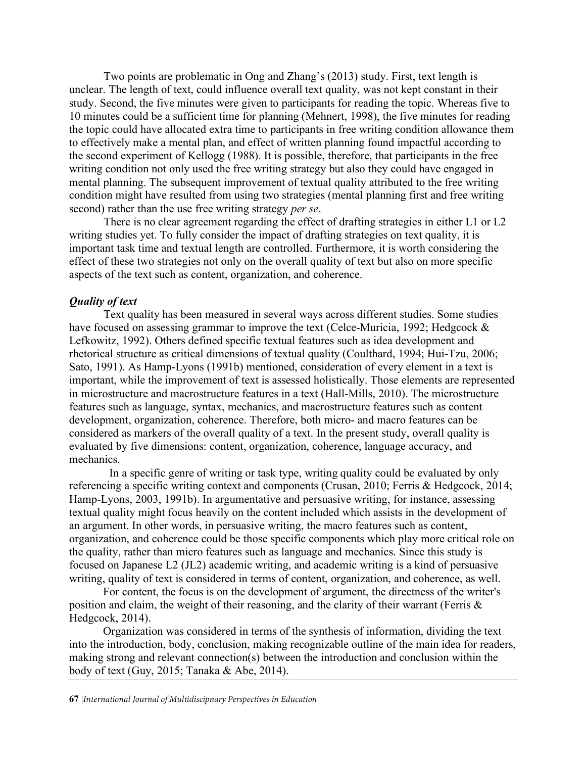Two points are problematic in Ong and Zhang's (2013) study. First, text length is unclear. The length of text, could influence overall text quality, was not kept constant in their study. Second, the five minutes were given to participants for reading the topic. Whereas five to 10 minutes could be a sufficient time for planning (Mehnert, 1998), the five minutes for reading the topic could have allocated extra time to participants in free writing condition allowance them to effectively make a mental plan, and effect of written planning found impactful according to the second experiment of Kellogg (1988). It is possible, therefore, that participants in the free writing condition not only used the free writing strategy but also they could have engaged in mental planning. The subsequent improvement of textual quality attributed to the free writing condition might have resulted from using two strategies (mental planning first and free writing second) rather than the use free writing strategy *per se*.

There is no clear agreement regarding the effect of drafting strategies in either L1 or L2 writing studies yet. To fully consider the impact of drafting strategies on text quality, it is important task time and textual length are controlled. Furthermore, it is worth considering the effect of these two strategies not only on the overall quality of text but also on more specific aspects of the text such as content, organization, and coherence.

## *Quality of text*

Text quality has been measured in several ways across different studies. Some studies have focused on assessing grammar to improve the text (Celce-Muricia, 1992; Hedgcock  $\&$ Lefkowitz, 1992). Others defined specific textual features such as idea development and rhetorical structure as critical dimensions of textual quality (Coulthard, 1994; Hui-Tzu, 2006; Sato, 1991). As Hamp-Lyons (1991b) mentioned, consideration of every element in a text is important, while the improvement of text is assessed holistically. Those elements are represented in microstructure and macrostructure features in a text (Hall-Mills, 2010). The microstructure features such as language, syntax, mechanics, and macrostructure features such as content development, organization, coherence. Therefore, both micro- and macro features can be considered as markers of the overall quality of a text. In the present study, overall quality is evaluated by five dimensions: content, organization, coherence, language accuracy, and mechanics.

In a specific genre of writing or task type, writing quality could be evaluated by only referencing a specific writing context and components (Crusan, 2010; Ferris & Hedgcock, 2014; Hamp-Lyons, 2003, 1991b). In argumentative and persuasive writing, for instance, assessing textual quality might focus heavily on the content included which assists in the development of an argument. In other words, in persuasive writing, the macro features such as content, organization, and coherence could be those specific components which play more critical role on the quality, rather than micro features such as language and mechanics. Since this study is focused on Japanese L2 (JL2) academic writing, and academic writing is a kind of persuasive writing, quality of text is considered in terms of content, organization, and coherence, as well.

For content, the focus is on the development of argument, the directness of the writer's position and claim, the weight of their reasoning, and the clarity of their warrant (Ferris & Hedgcock, 2014).

Organization was considered in terms of the synthesis of information, dividing the text into the introduction, body, conclusion, making recognizable outline of the main idea for readers, making strong and relevant connection(s) between the introduction and conclusion within the body of text (Guy, 2015; Tanaka & Abe, 2014).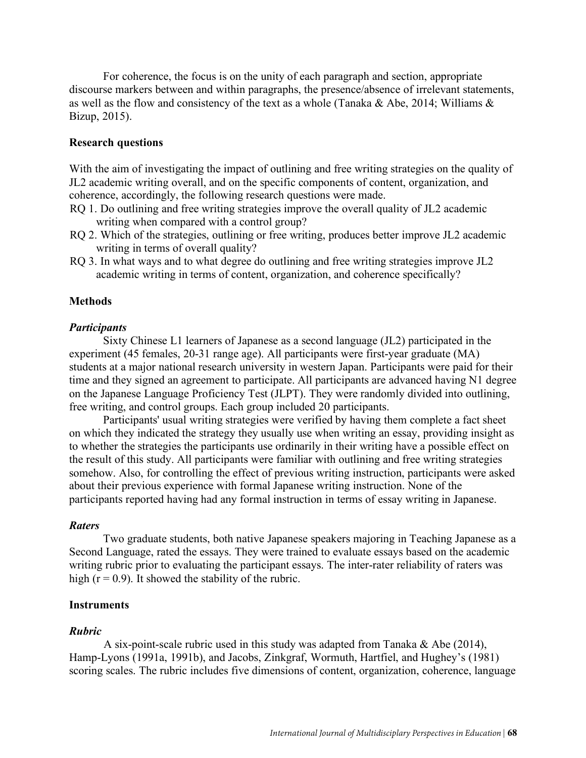For coherence, the focus is on the unity of each paragraph and section, appropriate discourse markers between and within paragraphs, the presence/absence of irrelevant statements, as well as the flow and consistency of the text as a whole (Tanaka & Abe, 2014; Williams & Bizup, 2015).

## **Research questions**

With the aim of investigating the impact of outlining and free writing strategies on the quality of JL2 academic writing overall, and on the specific components of content, organization, and coherence, accordingly, the following research questions were made.

- RQ 1. Do outlining and free writing strategies improve the overall quality of JL2 academic writing when compared with a control group?
- RQ 2. Which of the strategies, outlining or free writing, produces better improve JL2 academic writing in terms of overall quality?
- RQ 3. In what ways and to what degree do outlining and free writing strategies improve JL2 academic writing in terms of content, organization, and coherence specifically?

#### **Methods**

#### *Participants*

Sixty Chinese L1 learners of Japanese as a second language (JL2) participated in the experiment (45 females, 20-31 range age). All participants were first-year graduate (MA) students at a major national research university in western Japan. Participants were paid for their time and they signed an agreement to participate. All participants are advanced having N1 degree on the Japanese Language Proficiency Test (JLPT). They were randomly divided into outlining, free writing, and control groups. Each group included 20 participants.

Participants' usual writing strategies were verified by having them complete a fact sheet on which they indicated the strategy they usually use when writing an essay, providing insight as to whether the strategies the participants use ordinarily in their writing have a possible effect on the result of this study. All participants were familiar with outlining and free writing strategies somehow. Also, for controlling the effect of previous writing instruction, participants were asked about their previous experience with formal Japanese writing instruction. None of the participants reported having had any formal instruction in terms of essay writing in Japanese.

#### *Raters*

Two graduate students, both native Japanese speakers majoring in Teaching Japanese as a Second Language, rated the essays. They were trained to evaluate essays based on the academic writing rubric prior to evaluating the participant essays. The inter-rater reliability of raters was high  $(r = 0.9)$ . It showed the stability of the rubric.

## **Instruments**

## *Rubric*

A six-point-scale rubric used in this study was adapted from Tanaka & Abe (2014), Hamp-Lyons (1991a, 1991b), and Jacobs, Zinkgraf, Wormuth, Hartfiel, and Hughey's (1981) scoring scales. The rubric includes five dimensions of content, organization, coherence, language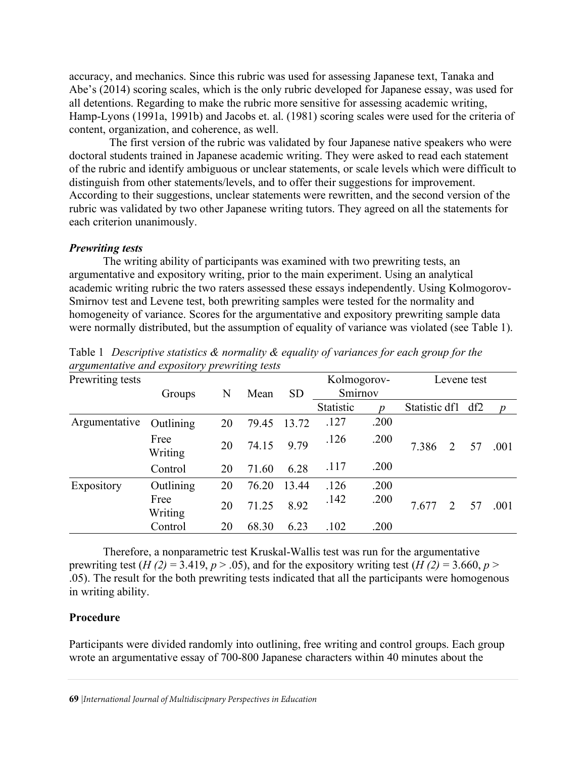accuracy, and mechanics. Since this rubric was used for assessing Japanese text, Tanaka and Abe's (2014) scoring scales, which is the only rubric developed for Japanese essay, was used for all detentions. Regarding to make the rubric more sensitive for assessing academic writing, Hamp-Lyons (1991a, 1991b) and Jacobs et. al. (1981) scoring scales were used for the criteria of content, organization, and coherence, as well.

The first version of the rubric was validated by four Japanese native speakers who were doctoral students trained in Japanese academic writing. They were asked to read each statement of the rubric and identify ambiguous or unclear statements, or scale levels which were difficult to distinguish from other statements/levels, and to offer their suggestions for improvement. According to their suggestions, unclear statements were rewritten, and the second version of the rubric was validated by two other Japanese writing tutors. They agreed on all the statements for each criterion unanimously.

#### *Prewriting tests*

The writing ability of participants was examined with two prewriting tests, an argumentative and expository writing, prior to the main experiment. Using an analytical academic writing rubric the two raters assessed these essays independently. Using Kolmogorov-Smirnov test and Levene test, both prewriting samples were tested for the normality and homogeneity of variance. Scores for the argumentative and expository prewriting sample data were normally distributed, but the assumption of equality of variance was violated (see Table 1).

| ပ                | $\sim$ 1        |    | ပ     |           |                  |                  |               |     |                |
|------------------|-----------------|----|-------|-----------|------------------|------------------|---------------|-----|----------------|
| Prewriting tests |                 |    |       |           | Kolmogorov-      |                  | Levene test   |     |                |
|                  | Groups          | N  | Mean  | <b>SD</b> |                  | Smirnov          |               |     |                |
|                  |                 |    |       |           | <b>Statistic</b> | $\boldsymbol{p}$ | Statistic df1 | df2 | $\overline{p}$ |
| Argumentative    | Outlining       | 20 | 79.45 | 13.72     | .127             | .200             |               |     |                |
|                  | Free<br>Writing | 20 | 74.15 | 9.79      | .126             | .200             | 7.386<br>2    | 57  | .001           |
|                  | Control         | 20 | 71.60 | 6.28      | .117             | .200             |               |     |                |
| Expository       | Outlining       | 20 | 76.20 | 13.44     | .126             | .200             |               |     |                |
|                  | Free<br>Writing | 20 | 71.25 | 8.92      | .142             | .200             | 7.677<br>2    | 57  | .001           |
|                  | Control         | 20 | 68.30 | 6.23      | .102             | .200             |               |     |                |

Table 1 *Descriptive statistics & normality & equality of variances for each group for the argumentative and expository prewriting tests*

Therefore, a nonparametric test Kruskal-Wallis test was run for the argumentative prewriting test (*H (2)* = 3.419,  $p > .05$ ), and for the expository writing test (*H (2)* = 3.660,  $p >$ .05). The result for the both prewriting tests indicated that all the participants were homogenous in writing ability.

## **Procedure**

Participants were divided randomly into outlining, free writing and control groups. Each group wrote an argumentative essay of 700-800 Japanese characters within 40 minutes about the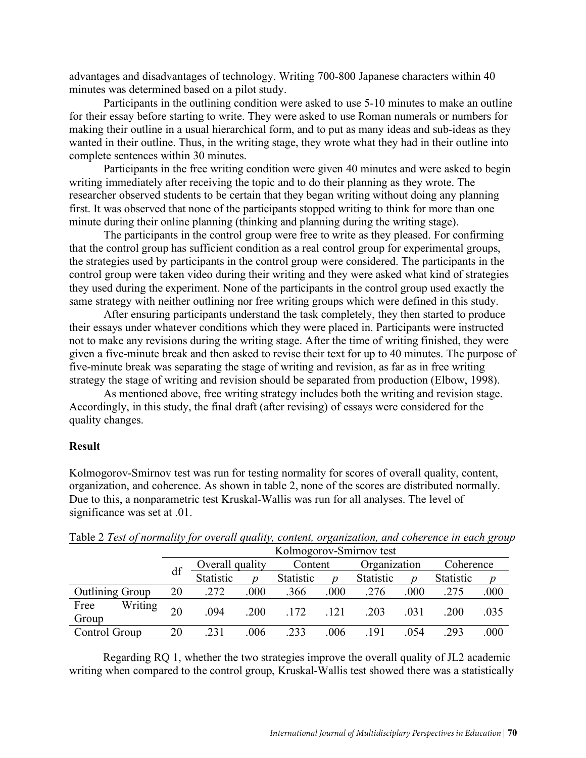advantages and disadvantages of technology. Writing 700-800 Japanese characters within 40 minutes was determined based on a pilot study.

Participants in the outlining condition were asked to use 5-10 minutes to make an outline for their essay before starting to write. They were asked to use Roman numerals or numbers for making their outline in a usual hierarchical form, and to put as many ideas and sub-ideas as they wanted in their outline. Thus, in the writing stage, they wrote what they had in their outline into complete sentences within 30 minutes.

Participants in the free writing condition were given 40 minutes and were asked to begin writing immediately after receiving the topic and to do their planning as they wrote. The researcher observed students to be certain that they began writing without doing any planning first. It was observed that none of the participants stopped writing to think for more than one minute during their online planning (thinking and planning during the writing stage).

The participants in the control group were free to write as they pleased. For confirming that the control group has sufficient condition as a real control group for experimental groups, the strategies used by participants in the control group were considered. The participants in the control group were taken video during their writing and they were asked what kind of strategies they used during the experiment. None of the participants in the control group used exactly the same strategy with neither outlining nor free writing groups which were defined in this study.

After ensuring participants understand the task completely, they then started to produce their essays under whatever conditions which they were placed in. Participants were instructed not to make any revisions during the writing stage. After the time of writing finished, they were given a five-minute break and then asked to revise their text for up to 40 minutes. The purpose of five-minute break was separating the stage of writing and revision, as far as in free writing strategy the stage of writing and revision should be separated from production (Elbow, 1998).

As mentioned above, free writing strategy includes both the writing and revision stage. Accordingly, in this study, the final draft (after revising) of essays were considered for the quality changes.

#### **Result**

Kolmogorov-Smirnov test was run for testing normality for scores of overall quality, content, organization, and coherence. As shown in table 2, none of the scores are distributed normally. Due to this, a nonparametric test Kruskal-Wallis was run for all analyses. The level of significance was set at .01.

|                          | Kolmogorov-Smirnov test |                 |      |           |      |                  |      |           |      |  |  |
|--------------------------|-------------------------|-----------------|------|-----------|------|------------------|------|-----------|------|--|--|
|                          | df                      | Overall quality |      | Content   |      | Organization     |      | Coherence |      |  |  |
|                          |                         | Statistic       | n    | Statistic |      | <b>Statistic</b> | p    | Statistic |      |  |  |
| <b>Outlining Group</b>   | 20                      | .272            | .000 | .366      | .000 | .276             | .000 | .275      | .000 |  |  |
| Writing<br>Free<br>Group | 20                      | .094            | .200 | 172       | 121  | .203             | .031 | .200      | .035 |  |  |
| Control Group            | 20                      | .231            | .006 | 233       | .006 | .191             | 054  | 293       | .000 |  |  |

Table 2 *Test of normality for overall quality, content, organization, and coherence in each group*

Regarding RQ 1, whether the two strategies improve the overall quality of JL2 academic writing when compared to the control group, Kruskal-Wallis test showed there was a statistically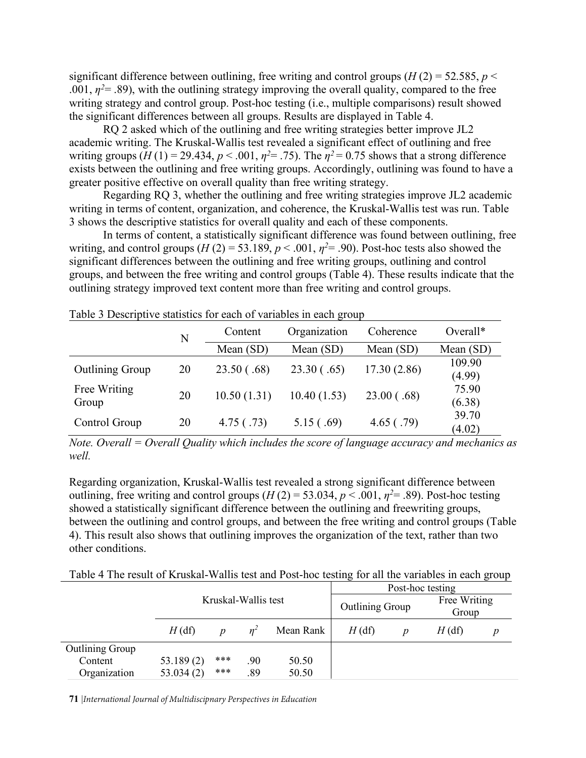significant difference between outlining, free writing and control groups ( $H(2) = 52.585$ ,  $p \le$ .001,  $\eta^2$  = .89), with the outlining strategy improving the overall quality, compared to the free writing strategy and control group. Post-hoc testing (i.e., multiple comparisons) result showed the significant differences between all groups. Results are displayed in Table 4.

RQ 2 asked which of the outlining and free writing strategies better improve JL2 academic writing. The Kruskal-Wallis test revealed a significant effect of outlining and free writing groups  $(H(1) = 29.434, p < .001, \eta^2 = .75)$ . The  $\eta^2 = 0.75$  shows that a strong difference exists between the outlining and free writing groups. Accordingly, outlining was found to have a greater positive effective on overall quality than free writing strategy.

Regarding RQ 3, whether the outlining and free writing strategies improve JL2 academic writing in terms of content, organization, and coherence, the Kruskal-Wallis test was run. Table 3 shows the descriptive statistics for overall quality and each of these components.

In terms of content, a statistically significant difference was found between outlining, free writing, and control groups  $(H(2) = 53.189, p < .001, \eta^2 = .90)$ . Post-hoc tests also showed the significant differences between the outlining and free writing groups, outlining and control groups, and between the free writing and control groups (Table 4). These results indicate that the outlining strategy improved text content more than free writing and control groups.

|                        | N  | Content     | Organization | Coherence   | Overall*         |  |
|------------------------|----|-------------|--------------|-------------|------------------|--|
|                        |    | Mean (SD)   | Mean $(SD)$  | Mean (SD)   | Mean $(SD)$      |  |
| <b>Outlining Group</b> | 20 | 23.50(.68)  | 23.30(.65)   | 17.30(2.86) | 109.90<br>(4.99) |  |
| Free Writing<br>Group  | 20 | 10.50(1.31) | 10.40(1.53)  | 23.00(.68)  | 75.90<br>(6.38)  |  |
| Control Group          | 20 | 4.75( .73)  | 5.15(.69)    | 4.65( .79)  | 39.70<br>(4.02)  |  |

Table 3 Descriptive statistics for each of variables in each group

*Note. Overall = Overall Quality which includes the score of language accuracy and mechanics as well.* 

Regarding organization, Kruskal-Wallis test revealed a strong significant difference between outlining, free writing and control groups  $(H(2) = 53.034, p < .001, \eta^2 = .89)$ . Post-hoc testing showed a statistically significant difference between the outlining and freewriting groups, between the outlining and control groups, and between the free writing and control groups (Table 4). This result also shows that outlining improves the organization of the text, rather than two other conditions.

Table 4 The result of Kruskal-Wallis test and Post-hoc testing for all the variables in each group

|                        |           |     |                     |           | Post-hoc testing       |  |                       |   |  |
|------------------------|-----------|-----|---------------------|-----------|------------------------|--|-----------------------|---|--|
|                        |           |     | Kruskal-Wallis test |           | <b>Outlining Group</b> |  | Free Writing<br>Group |   |  |
|                        | $H$ (df)  | p   | $n^{\circ}$         | Mean Rank | H(df)                  |  | $H$ (df)              | p |  |
| <b>Outlining Group</b> |           |     |                     |           |                        |  |                       |   |  |
| Content                | 53.189(2) | *** | .90                 | 50.50     |                        |  |                       |   |  |
| Organization           | 53.034(2) | *** | .89                 | 50.50     |                        |  |                       |   |  |

**71** |*International Journal of Multidiscipnary Perspectives in Education*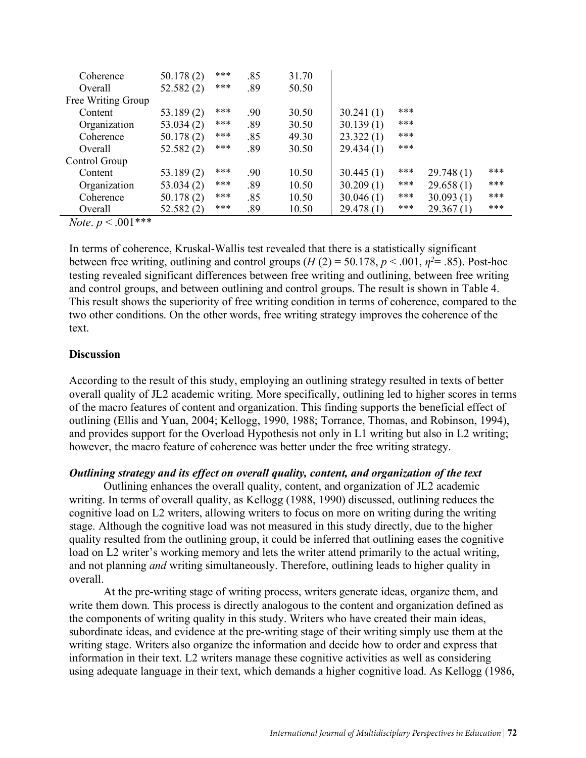| Coherence          | 50.178(2) | *** | .85 | 31.70 |           |     |           |     |
|--------------------|-----------|-----|-----|-------|-----------|-----|-----------|-----|
| Overall            | 52.582(2) | *** | .89 | 50.50 |           |     |           |     |
| Free Writing Group |           |     |     |       |           |     |           |     |
| Content            | 53.189(2) | *** | .90 | 30.50 | 30.241(1) | *** |           |     |
| Organization       | 53.034(2) | *** | .89 | 30.50 | 30.139(1) | *** |           |     |
| Coherence          | 50.178(2) | *** | .85 | 49.30 | 23.322(1) | *** |           |     |
| Overall            | 52.582(2) | *** | .89 | 30.50 | 29.434(1) | *** |           |     |
| Control Group      |           |     |     |       |           |     |           |     |
| Content            | 53.189(2) | *** | .90 | 10.50 | 30.445(1) | *** | 29.748(1) | *** |
| Organization       | 53.034(2) | *** | .89 | 10.50 | 30.209(1) | *** | 29.658(1) | *** |
| Coherence          | 50.178(2) | *** | .85 | 10.50 | 30.046(1) | *** | 30.093(1) | *** |
| Overall            | 52.582(2) | *** | .89 | 10.50 | 29.478(1) | *** | 29.367(1) | *** |

*Note*.  $p < .001***$ 

In terms of coherence, Kruskal-Wallis test revealed that there is a statistically significant between free writing, outlining and control groups  $(H(2) = 50.178, p < .001, \eta^2 = .85)$ . Post-hoc testing revealed significant differences between free writing and outlining, between free writing and control groups, and between outlining and control groups. The result is shown in Table 4. This result shows the superiority of free writing condition in terms of coherence, compared to the two other conditions. On the other words, free writing strategy improves the coherence of the text.

# **Discussion**

According to the result of this study, employing an outlining strategy resulted in texts of better overall quality of JL2 academic writing. More specifically, outlining led to higher scores in terms of the macro features of content and organization. This finding supports the beneficial effect of outlining (Ellis and Yuan, 2004; Kellogg, 1990, 1988; Torrance, Thomas, and Robinson, 1994), and provides support for the Overload Hypothesis not only in L1 writing but also in L2 writing; however, the macro feature of coherence was better under the free writing strategy.

# *Outlining strategy and its effect on overall quality, content, and organization of the text*

Outlining enhances the overall quality, content, and organization of JL2 academic writing. In terms of overall quality, as Kellogg (1988, 1990) discussed, outlining reduces the cognitive load on L2 writers, allowing writers to focus on more on writing during the writing stage. Although the cognitive load was not measured in this study directly, due to the higher quality resulted from the outlining group, it could be inferred that outlining eases the cognitive load on L2 writer's working memory and lets the writer attend primarily to the actual writing, and not planning *and* writing simultaneously. Therefore, outlining leads to higher quality in overall.

At the pre-writing stage of writing process, writers generate ideas, organize them, and write them down. This process is directly analogous to the content and organization defined as the components of writing quality in this study. Writers who have created their main ideas, subordinate ideas, and evidence at the pre-writing stage of their writing simply use them at the writing stage. Writers also organize the information and decide how to order and express that information in their text. L2 writers manage these cognitive activities as well as considering using adequate language in their text, which demands a higher cognitive load. As Kellogg (1986,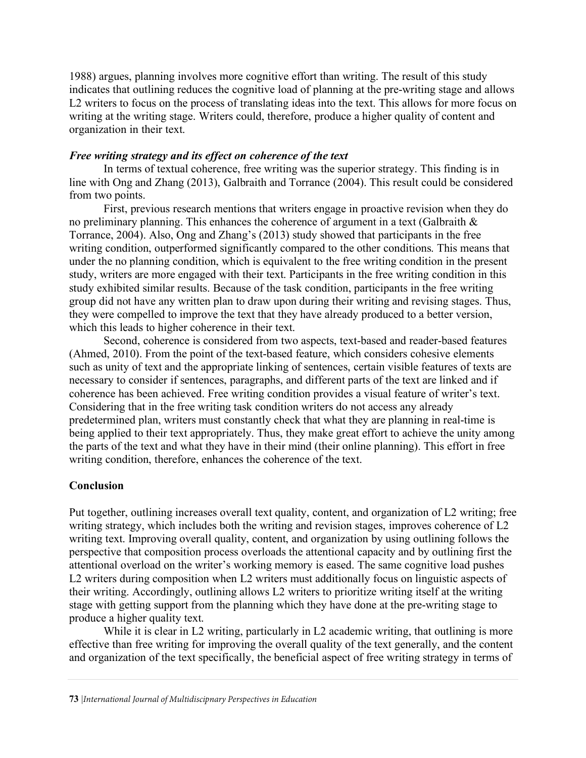1988) argues, planning involves more cognitive effort than writing. The result of this study indicates that outlining reduces the cognitive load of planning at the pre-writing stage and allows L2 writers to focus on the process of translating ideas into the text. This allows for more focus on writing at the writing stage. Writers could, therefore, produce a higher quality of content and organization in their text.

# *Free writing strategy and its effect on coherence of the text*

In terms of textual coherence, free writing was the superior strategy. This finding is in line with Ong and Zhang (2013), Galbraith and Torrance (2004). This result could be considered from two points.

First, previous research mentions that writers engage in proactive revision when they do no preliminary planning. This enhances the coherence of argument in a text (Galbraith & Torrance, 2004). Also, Ong and Zhang's (2013) study showed that participants in the free writing condition, outperformed significantly compared to the other conditions. This means that under the no planning condition, which is equivalent to the free writing condition in the present study, writers are more engaged with their text. Participants in the free writing condition in this study exhibited similar results. Because of the task condition, participants in the free writing group did not have any written plan to draw upon during their writing and revising stages. Thus, they were compelled to improve the text that they have already produced to a better version, which this leads to higher coherence in their text.

Second, coherence is considered from two aspects, text-based and reader-based features (Ahmed, 2010). From the point of the text-based feature, which considers cohesive elements such as unity of text and the appropriate linking of sentences, certain visible features of texts are necessary to consider if sentences, paragraphs, and different parts of the text are linked and if coherence has been achieved. Free writing condition provides a visual feature of writer's text. Considering that in the free writing task condition writers do not access any already predetermined plan, writers must constantly check that what they are planning in real-time is being applied to their text appropriately. Thus, they make great effort to achieve the unity among the parts of the text and what they have in their mind (their online planning). This effort in free writing condition, therefore, enhances the coherence of the text.

# **Conclusion**

Put together, outlining increases overall text quality, content, and organization of L2 writing; free writing strategy, which includes both the writing and revision stages, improves coherence of L2 writing text. Improving overall quality, content, and organization by using outlining follows the perspective that composition process overloads the attentional capacity and by outlining first the attentional overload on the writer's working memory is eased. The same cognitive load pushes L2 writers during composition when L2 writers must additionally focus on linguistic aspects of their writing. Accordingly, outlining allows L2 writers to prioritize writing itself at the writing stage with getting support from the planning which they have done at the pre-writing stage to produce a higher quality text.

While it is clear in L2 writing, particularly in L2 academic writing, that outlining is more effective than free writing for improving the overall quality of the text generally, and the content and organization of the text specifically, the beneficial aspect of free writing strategy in terms of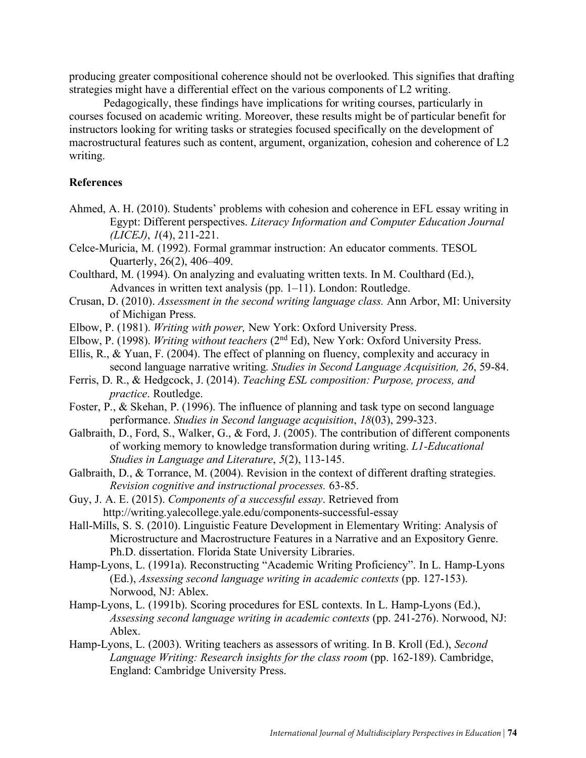producing greater compositional coherence should not be overlooked. This signifies that drafting strategies might have a differential effect on the various components of L2 writing.

Pedagogically, these findings have implications for writing courses, particularly in courses focused on academic writing. Moreover, these results might be of particular benefit for instructors looking for writing tasks or strategies focused specifically on the development of macrostructural features such as content, argument, organization, cohesion and coherence of L2 writing.

## **References**

- Ahmed, A. H. (2010). Students' problems with cohesion and coherence in EFL essay writing in Egypt: Different perspectives. *Literacy Information and Computer Education Journal (LICEJ)*, *1*(4), 211-221.
- Celce-Muricia, M. (1992). Formal grammar instruction: An educator comments. TESOL Quarterly, 26(2), 406–409.
- Coulthard, M. (1994). On analyzing and evaluating written texts. In M. Coulthard (Ed.), Advances in written text analysis (pp. 1–11). London: Routledge.
- Crusan, D. (2010). *Assessment in the second writing language class.* Ann Arbor, MI: University of Michigan Press.
- Elbow, P. (1981). *Writing with power,* New York: Oxford University Press.
- Elbow, P. (1998). *Writing without teachers* (2nd Ed), New York: Oxford University Press.
- Ellis, R., & Yuan, F. (2004). The effect of planning on fluency, complexity and accuracy in second language narrative writing. *Studies in Second Language Acquisition, 26*, 59-84.
- Ferris, D. R., & Hedgcock, J. (2014). *Teaching ESL composition: Purpose, process, and practice*. Routledge.
- Foster, P., & Skehan, P. (1996). The influence of planning and task type on second language performance. *Studies in Second language acquisition*, *18*(03), 299-323.
- Galbraith, D., Ford, S., Walker, G., & Ford, J. (2005). The contribution of different components of working memory to knowledge transformation during writing. *L1-Educational Studies in Language and Literature*, *5*(2), 113-145.
- Galbraith, D., & Torrance, M. (2004). Revision in the context of different drafting strategies. *Revision cognitive and instructional processes.* 63-85.
- Guy, J. A. E. (2015). *Components of a successful essay*. Retrieved from http://writing.yalecollege.yale.edu/components-successful-essay
- Hall-Mills, S. S. (2010). Linguistic Feature Development in Elementary Writing: Analysis of Microstructure and Macrostructure Features in a Narrative and an Expository Genre. Ph.D. dissertation. Florida State University Libraries.
- Hamp-Lyons, L. (1991a). Reconstructing "Academic Writing Proficiency". In L. Hamp-Lyons (Ed.), *Assessing second language writing in academic contexts* (pp. 127-153). Norwood, NJ: Ablex.
- Hamp-Lyons, L. (1991b). Scoring procedures for ESL contexts. In L. Hamp-Lyons (Ed.), *Assessing second language writing in academic contexts* (pp. 241-276). Norwood, NJ: Ablex.
- Hamp-Lyons, L. (2003). Writing teachers as assessors of writing. In B. Kroll (Ed.), *Second Language Writing: Research insights for the class room (pp. 162-189). Cambridge,* England: Cambridge University Press.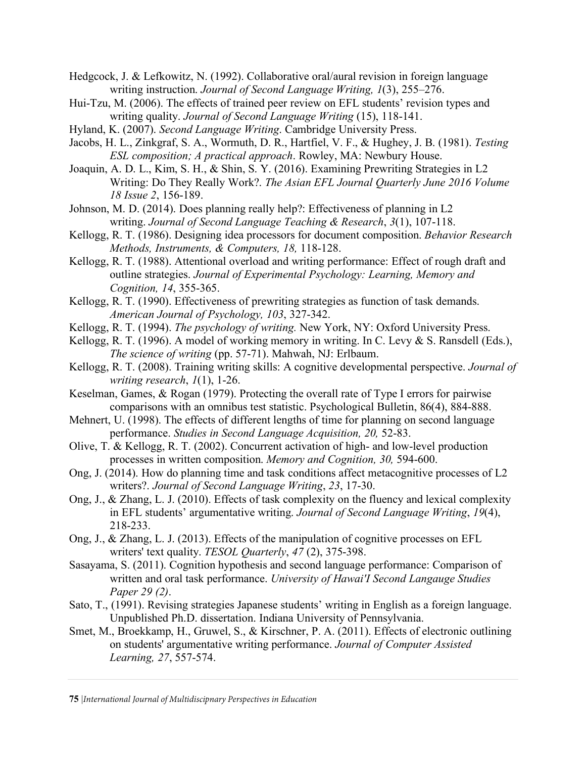- Hedgcock, J. & Lefkowitz, N. (1992). Collaborative oral/aural revision in foreign language writing instruction. *Journal of Second Language Writing, 1*(3), 255–276.
- Hui-Tzu, M. (2006). The effects of trained peer review on EFL students' revision types and writing quality. *Journal of Second Language Writing* (15), 118-141.
- Hyland, K. (2007). *Second Language Writing*. Cambridge University Press.
- Jacobs, H. L., Zinkgraf, S. A., Wormuth, D. R., Hartfiel, V. F., & Hughey, J. B. (1981). *Testing ESL composition; A practical approach*. Rowley, MA: Newbury House.
- Joaquin, A. D. L., Kim, S. H., & Shin, S. Y. (2016). Examining Prewriting Strategies in L2 Writing: Do They Really Work?. *The Asian EFL Journal Quarterly June 2016 Volume 18 Issue 2*, 156-189.
- Johnson, M. D. (2014). Does planning really help?: Effectiveness of planning in L2 writing. *Journal of Second Language Teaching & Research*, *3*(1), 107-118.
- Kellogg, R. T. (1986). Designing idea processors for document composition. *Behavior Research Methods, Instruments, & Computers, 18,* 118-128.
- Kellogg, R. T. (1988). Attentional overload and writing performance: Effect of rough draft and outline strategies. *Journal of Experimental Psychology: Learning, Memory and Cognition, 14*, 355-365.
- Kellogg, R. T. (1990). Effectiveness of prewriting strategies as function of task demands. *American Journal of Psychology, 103*, 327-342.
- Kellogg, R. T. (1994). *The psychology of writing.* New York, NY: Oxford University Press.
- Kellogg, R. T. (1996). A model of working memory in writing. In C. Levy & S. Ransdell (Eds.), *The science of writing* (pp. 57-71). Mahwah, NJ: Erlbaum.
- Kellogg, R. T. (2008). Training writing skills: A cognitive developmental perspective. *Journal of writing research*, *1*(1), 1-26.
- Keselman, Games, & Rogan (1979). Protecting the overall rate of Type I errors for pairwise comparisons with an omnibus test statistic. Psychological Bulletin, 86(4), 884-888.
- Mehnert, U. (1998). The effects of different lengths of time for planning on second language performance. *Studies in Second Language Acquisition, 20,* 52-83.
- Olive, T. & Kellogg, R. T. (2002). Concurrent activation of high- and low-level production processes in written composition. *Memory and Cognition, 30,* 594-600.
- Ong, J. (2014). How do planning time and task conditions affect metacognitive processes of L2 writers?. *Journal of Second Language Writing*, *23*, 17-30.
- Ong, J., & Zhang, L. J. (2010). Effects of task complexity on the fluency and lexical complexity in EFL students' argumentative writing. *Journal of Second Language Writing*, *19*(4), 218-233.
- Ong, J., & Zhang, L. J. (2013). Effects of the manipulation of cognitive processes on EFL writers' text quality. *TESOL Quarterly*, *47* (2), 375-398.
- Sasayama, S. (2011). Cognition hypothesis and second language performance: Comparison of written and oral task performance. *University of Hawai'I Second Langauge Studies Paper 29 (2)*.
- Sato, T., (1991). Revising strategies Japanese students' writing in English as a foreign language. Unpublished Ph.D. dissertation. Indiana University of Pennsylvania.
- Smet, M., Broekkamp, H., Gruwel, S., & Kirschner, P. A. (2011). Effects of electronic outlining on students' argumentative writing performance. *Journal of Computer Assisted Learning, 27*, 557-574.